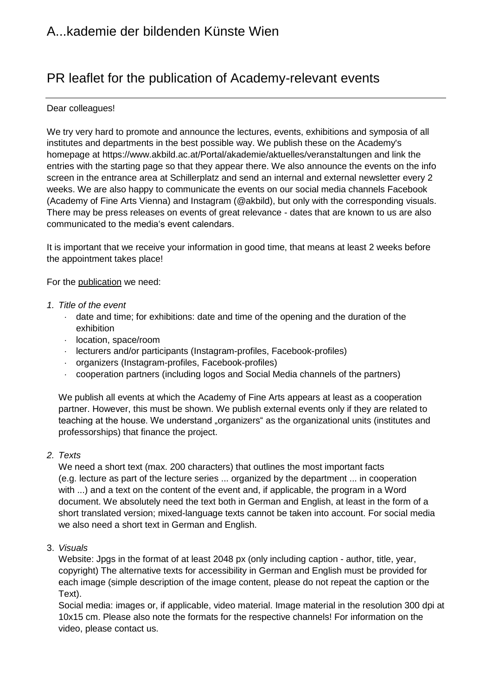# PR leaflet for the publication of Academy-relevant events

### Dear colleagues!

We try very hard to promote and announce the lectures, events, exhibitions and symposia of all institutes and departments in the best possible way. We publish these on the Academy's homepage at https://www.akbild.ac.at/Portal/akademie/aktuelles/veranstaltungen and link the entries with the starting page so that they appear there. We also announce the events on the info screen in the entrance area at Schillerplatz and send an internal and external newsletter every 2 weeks. We are also happy to communicate the events on our social media channels Facebook (Academy of Fine Arts Vienna) and Instagram (@akbild), but only with the corresponding visuals. There may be press releases on events of great relevance - dates that are known to us are also communicated to the media's event calendars.

It is important that we receive your information in good time, that means at least 2 weeks before the appointment takes place!

For the publication we need:

- *1. Title of the event*
	- $\cdot$  date and time; for exhibitions: date and time of the opening and the duration of the exhibition
	- location, space/room
	- lecturers and/or participants (Instagram-profiles, Facebook-profiles)
	- organizers (Instagram-profiles, Facebook-profiles)
	- cooperation partners (including logos and Social Media channels of the partners)

We publish all events at which the Academy of Fine Arts appears at least as a cooperation partner. However, this must be shown. We publish external events only if they are related to teaching at the house. We understand "organizers" as the organizational units (institutes and professorships) that finance the project.

#### *2. Texts*

We need a short text (max. 200 characters) that outlines the most important facts (e.g. lecture as part of the lecture series ... organized by the department ... in cooperation with ...) and a text on the content of the event and, if applicable, the program in a Word document. We absolutely need the text both in German and English, at least in the form of a short translated version; mixed-language texts cannot be taken into account. For social media we also need a short text in German and English.

## 3. *Visuals*

Website: Jpgs in the format of at least 2048 px (only including caption - author, title, year, copyright) The alternative texts for accessibility in German and English must be provided for each image (simple description of the image content, please do not repeat the caption or the Text).

Social media: images or, if applicable, video material. Image material in the resolution 300 dpi at 10x15 cm. Please also note the formats for the respective channels! For information on the video, please contact us.